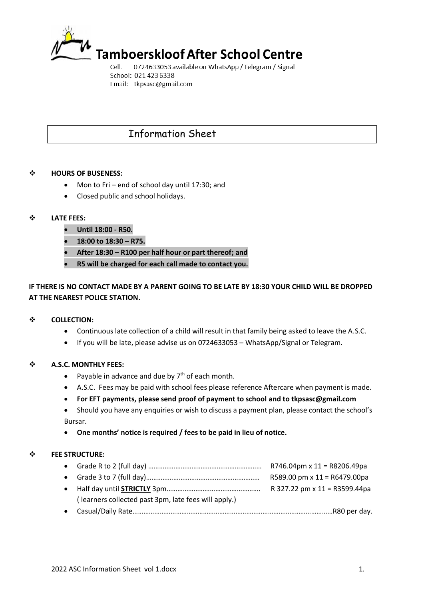

0724633053 available on WhatsApp / Telegram / Signal Cell: School: 021 423 6338 Email: tkpsasc@gmail.com

# Information Sheet

# $\div$  **HOURS OF BUSENESS:**

- Mon to Fri end of school day until 17:30; and
- Closed public and school holidays.

# **LATE FEES:**

- **Until 18:00 - R50.**
- **18:00 to 18:30 – R75.**
- **After 18:30 – R100 per half hour or part thereof; and**
- **R5 will be charged for each call made to contact you.**

# **IF THERE IS NO CONTACT MADE BY A PARENT GOING TO BE LATE BY 18:30 YOUR CHILD WILL BE DROPPED AT THE NEAREST POLICE STATION.**

## $\div$  **COLLECTION:**

- Continuous late collection of a child will result in that family being asked to leave the A.S.C.
- If you will be late, please advise us on 0724633053 WhatsApp/Signal or Telegram.

# **A.S.C. MONTHLY FEES:**

- Payable in advance and due by  $7<sup>th</sup>$  of each month.
- A.S.C. Fees may be paid with school fees please reference Aftercare when payment is made.
- **For EFT payments, please send proof of payment to school and to tkpsasc@gmail.com**

 Should you have any enquiries or wish to discuss a payment plan, please contact the school's Bursar.

**One months' notice is required / fees to be paid in lieu of notice.**

## **FEE STRUCTURE:**

|                                                      | R746.04pm x $11 = R8206.49$ pa  |
|------------------------------------------------------|---------------------------------|
|                                                      | R589.00 pm x $11 = R6479.00$ pa |
|                                                      | R 327.22 pm x 11 = R3599.44pa   |
| (learners collected past 3pm, late fees will apply.) |                                 |
|                                                      |                                 |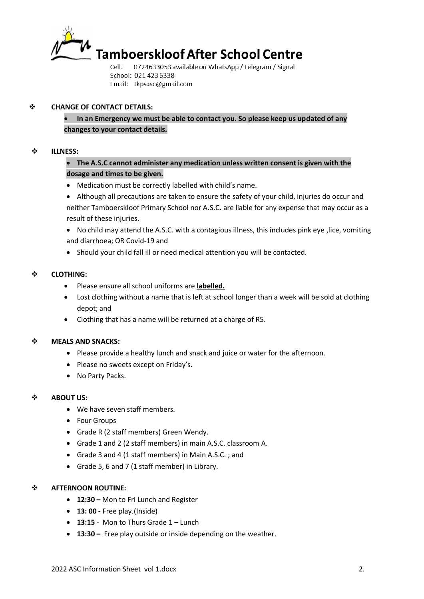

Cell: 0724633053 available on WhatsApp / Telegram / Signal School: 021 423 6338 Email: tkpsasc@gmail.com

# **CHANGE OF CONTACT DETAILS:**

 **In an Emergency we must be able to contact you. So please keep us updated of any changes to your contact details.**

## **ILLNESS:**

# **The A.S.C cannot administer any medication unless written consent is given with the dosage and times to be given.**

Medication must be correctly labelled with child's name.

 Although all precautions are taken to ensure the safety of your child, injuries do occur and neither Tamboerskloof Primary School nor A.S.C. are liable for any expense that may occur as a result of these injuries.

 No child may attend the A.S.C. with a contagious illness, this includes pink eye ,lice, vomiting and diarrhoea; OR Covid-19 and

Should your child fall ill or need medical attention you will be contacted.

# **CLOTHING:**

- Please ensure all school uniforms are **labelled.**
- Lost clothing without a name that is left at school longer than a week will be sold at clothing depot; and
- Clothing that has a name will be returned at a charge of R5.

## $\div$  **MEALS AND SNACKS:**

- Please provide a healthy lunch and snack and juice or water for the afternoon.
- Please no sweets except on Friday's.
- No Party Packs.

# $\div$  **ABOUT US:**

- We have seven staff members.
- Four Groups
- Grade R (2 staff members) Green Wendy.
- Grade 1 and 2 (2 staff members) in main A.S.C. classroom A.
- Grade 3 and 4 (1 staff members) in Main A.S.C. ; and
- Grade 5, 6 and 7 (1 staff member) in Library.

## **AFTERNOON ROUTINE:**

- **12:30 –** Mon to Fri Lunch and Register
- **13: 00 -** Free play.(Inside)
- **13:15** Mon to Thurs Grade 1 Lunch
- **13:30 –** Free play outside or inside depending on the weather.